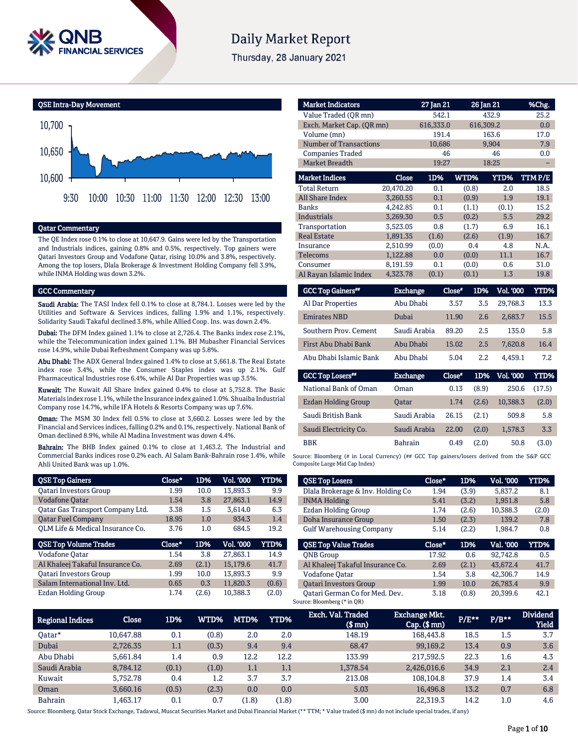

# **Daily Market Report**

Thursday, 28 January 2021



#### Qatar Commentary

The QE Index rose 0.1% to close at 10,647.9. Gains were led by the Transportation and Industrials indices, gaining 0.8% and 0.5%, respectively. Top gainers were Qatari Investors Group and Vodafone Qatar, rising 10.0% and 3.8%, respectively. Among the top losers, Dlala Brokerage & Investment Holding Company fell 3.9%, while INMA Holding was down 3.2%.

#### GCC Commentary

Saudi Arabia: The TASI Index fell 0.1% to close at 8,784.1. Losses were led by the Utilities and Software & Services indices, falling 1.9% and 1.1%, respectively. Solidarity Saudi Takaful declined 3.8%, while Allied Coop. Ins. was down 2.4%.

Dubai: The DFM Index gained 1.1% to close at 2,726.4. The Banks index rose 2.1%, while the Telecommunication index gained 1.1%. BH Mubasher Financial Services rose 14.9%, while Dubai Refreshment Company was up 5.8%.

Abu Dhabi: The ADX General Index gained 1.4% to close at 5,661.8. The Real Estate index rose 3.4%, while the Consumer Staples index was up 2.1%. Gulf Pharmaceutical Industries rose 6.4%, while Al Dar Properties was up 3.5%.

Kuwait: The Kuwait All Share Index gained 0.4% to close at 5,752.8. The Basic Materials index rose 1.1%, while the Insurance index gained 1.0%. Shuaiba Industrial Company rose 14.7%, while IFA Hotels & Resorts Company was up 7.6%.

Oman: The MSM 30 Index fell 0.5% to close at 3,660.2. Losses were led by the Financial and Services indices, falling 0.2% and 0.1%, respectively. National Bank of Oman declined 8.9%, while Al Madina Investment was down 4.4%.

Bahrain: The BHB Index gained 0.1% to close at 1,463.2. The Industrial and Commercial Banks indices rose 0.2% each. Al Salam Bank-Bahrain rose 1.4%, while Ahli United Bank was up 1.0%.

| <b>QSE Top Gainers</b>           | Close* | 1D%   | Vol. '000 | <b>YTD%</b> |
|----------------------------------|--------|-------|-----------|-------------|
| <b>Oatari Investors Group</b>    | 1.99   | 10.0  | 13.893.3  | 9.9         |
| <b>Vodafone Qatar</b>            | 1.54   | 3.8   | 27,863.1  | 14.9        |
| Qatar Gas Transport Company Ltd. | 3.38   | 1.5   | 3,614.0   | 6.3         |
| <b>Oatar Fuel Company</b>        | 18.95  | 1.0   | 934.3     | 1.4         |
| OLM Life & Medical Insurance Co. | 3.76   | 1.0   | 684.5     | 19.2        |
|                                  |        |       |           |             |
| <b>QSE Top Volume Trades</b>     | Close* | 1D%   | Vol. '000 | YTD%        |
| Vodafone Qatar                   | 1.54   | 3.8   | 27,863.1  | 14.9        |
| Al Khaleej Takaful Insurance Co. | 2.69   | (2.1) | 15,179.6  | 41.7        |
| <b>Oatari Investors Group</b>    | 1.99   | 10.0  | 13,893.3  | 9.9         |
| Salam International Inv. Ltd.    | 0.65   | 0.3   | 11,820.3  | (0.6)       |

| <b>Market Indicators</b>      |                 | 27 Jan 21 |               | 26 Jan 21        | %Chg.       |
|-------------------------------|-----------------|-----------|---------------|------------------|-------------|
| Value Traded (OR mn)          |                 | 542.1     |               | 432.9            | 25.2        |
| Exch. Market Cap. (QR mn)     |                 | 616,333.0 |               | 616,309.2        | 0.0         |
| Volume (mn)                   |                 | 191.4     |               | 163.6            | 17.0        |
| <b>Number of Transactions</b> |                 | 10,686    |               | 9,904            | 7.9         |
| <b>Companies Traded</b>       |                 | 46        |               | 46               | 0.0         |
| <b>Market Breadth</b>         |                 | 19:27     |               | 18:25            |             |
| <b>Market Indices</b>         | Close           | 1D%       | WTD%          | <b>YTD%</b>      | TTMP/E      |
| <b>Total Return</b>           | 20,470.20       | 0.1       | (0.8)         | 2.0              | 18.5        |
| <b>All Share Index</b>        | 3,260.55        | 0.1       | (0.9)         | 1.9              | 19.1        |
| <b>Banks</b>                  | 4,242.85        | 0.1       | (1.1)         | (0.1)            | 15.2        |
| <b>Industrials</b>            | 3.269.30        | 0.5       | (0.2)         | 5.5              | 29.2        |
| Transportation                | 3,523.05        | 0.8       | (1.7)         | 6.9              | 16.1        |
| <b>Real Estate</b>            | 1,891.35        | (1.6)     | (2.6)         | (1.9)            | 16.7        |
| Insurance                     | 2,510.99        | (0.0)     | 0.4           | 4.8              | N.A.        |
| <b>Telecoms</b>               | 1,122.88        | 0.0       | (0.0)         | 11.1             | 16.7        |
| Consumer                      | 8,191.59        | 0.1       | (0.0)         | 0.6              | 31.0        |
| Al Rayan Islamic Index        | 4,323.78        | (0.1)     | (0.1)         | 1.3              | 19.8        |
| <b>GCC Top Gainers**</b>      | <b>Exchange</b> |           | Close*<br>1D% | <b>Vol. '000</b> | <b>YTD%</b> |
|                               |                 |           |               |                  |             |

| Al Dar Properties      | Abu Dhabi    | 3.57  | 3.5 | 29.768.3 | 13.3 |
|------------------------|--------------|-------|-----|----------|------|
| <b>Emirates NBD</b>    | Dubai        | 11.90 | 2.6 | 2,683.7  | 15.5 |
| Southern Prov. Cement  | Saudi Arabia | 89.20 | 2.5 | 135.0    | 5.8  |
| First Abu Dhabi Bank   | Abu Dhabi    | 15.02 | 2.5 | 7.620.8  | 16.4 |
| Abu Dhabi Islamic Bank | Abu Dhabi    | 5.04  | 2.2 | 4.459.1  | 7.2  |

| <b>GCC Top Losers</b> | <b>Exchange</b> | Close* | 1D%   | <b>Vol. '000</b> | YTD%   |
|-----------------------|-----------------|--------|-------|------------------|--------|
| National Bank of Oman | Oman            | 0.13   | (8.9) | 250.6            | (17.5) |
| Ezdan Holding Group   | <b>Oatar</b>    | 1.74   | (2.6) | 10.388.3         | (2.0)  |
| Saudi British Bank    | Saudi Arabia    | 26.15  | (2.1) | 509.8            | 5.8    |
| Saudi Electricity Co. | Saudi Arabia    | 22.00  | (2.0) | 1,578.3          | 3.3    |
| <b>BBK</b>            | <b>Bahrain</b>  | 0.49   | (2.0) | 50.8             | (3.0)  |

Source: Bloomberg (# in Local Currency) (## GCC Top gainers/losers derived from the S&P GCC Composite Large Mid Cap Index)

| <b>QSE Top Losers</b>                                                                                                                  | Close* | 1D%   | Vol. '000 | YTD%  |
|----------------------------------------------------------------------------------------------------------------------------------------|--------|-------|-----------|-------|
| Dlala Brokerage & Inv. Holding Co                                                                                                      | 1.94   | (3.9) | 5.837.2   | 8.1   |
| <b>INMA Holding</b>                                                                                                                    | 5.41   | (3.2) | 1.951.8   | 5.8   |
| Ezdan Holding Group                                                                                                                    | 1.74   | (2.6) | 10,388.3  | (2.0) |
| Doha Insurance Group                                                                                                                   | 1.50   | (2.3) | 139.2     | 7.8   |
| <b>Gulf Warehousing Company</b>                                                                                                        | 5.14   | (2.2) | 1.984.7   | 0.8   |
|                                                                                                                                        |        |       |           |       |
|                                                                                                                                        | Close* | 1D%   | Val. '000 | YTD%  |
|                                                                                                                                        | 17.92  | 0.6   | 92.742.8  | 0.5   |
|                                                                                                                                        | 2.69   | (2.1) | 43.672.4  | 41.7  |
|                                                                                                                                        | 1.54   | 3.8   | 42,306.7  | 14.9  |
| <b>OSE Top Value Trades</b><br><b>ONB</b> Group<br>Al Khaleej Takaful Insurance Co.<br>Vodafone Qatar<br><b>Oatari Investors Group</b> | 1.99   | 10.0  | 26.783.4  | 9.9   |

| <b>Regional Indices</b> | <b>Close</b> | 1D%   | WTD%  | MTD%  | <b>YTD%</b> | Exch. Val. Traded<br>$$$ mm $)$ | <b>Exchange Mkt.</b><br>$Cap.$ $(\$$ mn) | $P/E***$ | $P/B***$ | <b>Dividend</b><br><b>Yield</b> |
|-------------------------|--------------|-------|-------|-------|-------------|---------------------------------|------------------------------------------|----------|----------|---------------------------------|
| Oatar*                  | 10.647.88    | 0.1   | (0.8) | 2.0   | 2.0         | 148.19                          | 168,443.8                                | 18.5     | $1.5\,$  | 3.7                             |
| Dubai                   | 2,726.35     | 1.1   | (0.3) | 9.4   | 9.4         | 68.47                           | 99.169.2                                 | 13.4     | 0.9      | 3.6                             |
| Abu Dhabi               | 5.661.84     | 1.4   | 0.9   | 12.2  | 12.2        | 133.99                          | 217.592.5                                | 22.3     | 1.6      | 4.3                             |
| Saudi Arabia            | 8.784.12     | (0.1) | (1.0) | 1.1   | 1.1         | 1.378.54                        | 2.426.016.6                              | 34.9     | 2.1      | 2.4                             |
| Kuwait                  | 5.752.78     | 0.4   | 1.2   | 3.7   | 3.7         | 213.08                          | 108.104.8                                | 37.9     | 1.4      | 3.4                             |
| Oman                    | 3.660.16     | (0.5) | (2.3) | 0.0   | 0.0         | 5.03                            | 16.496.8                                 | 13.2     | 0.7      | 6.8                             |
| <b>Bahrain</b>          | l.463.17     | 0.1   | 0.7   | (1.8) | (1.8)       | 3.00                            | 22.319.3                                 | 14.2     | $1.0\,$  | 4.6                             |

Source: Bloomberg, Qatar Stock Exchange, Tadawul, Muscat Securities Market and Dubai Financial Market (\*\* TTM; \* Value traded (\$ mn) do not include special trades, if any)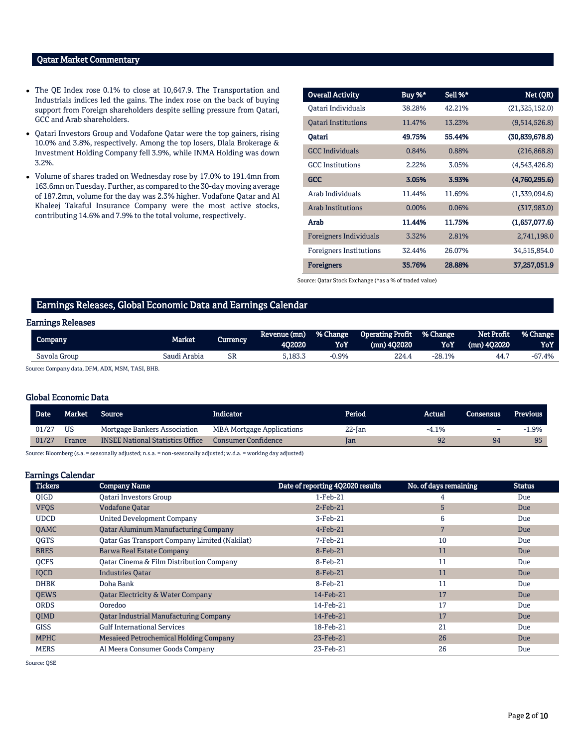# Qatar Market Commentary

- The QE Index rose 0.1% to close at 10,647.9. The Transportation and Industrials indices led the gains. The index rose on the back of buying support from Foreign shareholders despite selling pressure from Qatari, GCC and Arab shareholders.
- Qatari Investors Group and Vodafone Qatar were the top gainers, rising 10.0% and 3.8%, respectively. Among the top losers, Dlala Brokerage & Investment Holding Company fell 3.9%, while INMA Holding was down 3.2%.
- Volume of shares traded on Wednesday rose by 17.0% to 191.4mn from 163.6mn on Tuesday. Further, as compared to the 30-day moving average of 187.2mn, volume for the day was 2.3% higher. Vodafone Qatar and Al Khaleej Takaful Insurance Company were the most active stocks, contributing 14.6% and 7.9% to the total volume, respectively.

| <b>Overall Activity</b>        | Buy %*   | Sell %* | Net (QR)       |
|--------------------------------|----------|---------|----------------|
| Oatari Individuals             | 38.28%   | 42.21%  | (21,325,152.0) |
| <b>Oatari Institutions</b>     | 11.47%   | 13.23%  | (9,514,526.8)  |
| Oatari                         | 49.75%   | 55.44%  | (30,839,678.8) |
| <b>GCC</b> Individuals         | 0.84%    | 0.88%   | (216, 868.8)   |
| <b>GCC</b> Institutions        | 2.22%    | 3.05%   | (4,543,426.8)  |
| <b>GCC</b>                     | 3.05%    | 3.93%   | (4,760,295.6)  |
| Arab Individuals               | 11.44%   | 11.69%  | (1,339,094.6)  |
| <b>Arab Institutions</b>       | $0.00\%$ | 0.06%   | (317, 983.0)   |
| Arab                           | 11.44%   | 11.75%  | (1,657,077.6)  |
| Foreigners Individuals         | 3.32%    | 2.81%   | 2,741,198.0    |
| <b>Foreigners Institutions</b> | 32.44%   | 26.07%  | 34,515,854.0   |
| <b>Foreigners</b>              | 35.76%   | 28.88%  | 37,257,051.9   |

Source: Qatar Stock Exchange (\*as a % of traded value)

#### Earnings Releases, Global Economic Data and Earnings Calendar

#### Earnings Releases

| <b>Company</b> | Market       | Currencv | 'Revenue (mn) ,<br>402020 | <b>% Change</b><br>YoY | <b>Operating Profit</b><br>$(mn)$ 402020 | % Change<br>YoY | <b>Net Profit</b><br>$(mn)$ 402020 | <b>M</b> Change<br>YoY |
|----------------|--------------|----------|---------------------------|------------------------|------------------------------------------|-----------------|------------------------------------|------------------------|
| Savola Group   | Saudi Arabia | SR       | 5.183.3                   | $-0.9%$                | 224.4                                    | $-28.1%$        | 44.                                | $-67.4%$               |
|                |              |          |                           |                        |                                          |                 |                                    |                        |

Source: Company data, DFM, ADX, MSM, TASI, BHB.

#### Global Economic Data

| Date <sup>'</sup> | Market | Source                                  | Indicator                        | Period    | Actual  | Consensus | Previous |
|-------------------|--------|-----------------------------------------|----------------------------------|-----------|---------|-----------|----------|
| 01/27             | US     | Mortgage Bankers Association            | <b>MBA Mortgage Applications</b> | $22$ -Jan | $-4.1%$ | -         | 1.9%     |
| 01/27             | France | <b>INSEE National Statistics Office</b> | <b>Consumer Confidence</b>       | Jan       | 92      | 94        | 95       |

Source: Bloomberg (s.a. = seasonally adjusted; n.s.a. = non-seasonally adjusted; w.d.a. = working day adjusted)

#### Earnings Calendar

| -<br><b>Tickers</b> | <b>Company Name</b>                           | Date of reporting 4Q2020 results | No. of days remaining | <b>Status</b> |
|---------------------|-----------------------------------------------|----------------------------------|-----------------------|---------------|
| QIGD                | <b>Oatari Investors Group</b>                 | $1-Feb-21$                       | 4                     | Due           |
| <b>VFQS</b>         | <b>Vodafone Qatar</b>                         | $2$ -Feb-21                      | 5                     | Due           |
| <b>UDCD</b>         | <b>United Development Company</b>             | 3-Feb-21                         | 6                     | Due           |
| QAMC                | <b>Qatar Aluminum Manufacturing Company</b>   | $4$ -Feb-21                      | 7                     | Due           |
| QGTS                | Qatar Gas Transport Company Limited (Nakilat) | $7-Feb-21$                       | 10                    | Due           |
| <b>BRES</b>         | <b>Barwa Real Estate Company</b>              | 8-Feb-21                         | 11                    | Due           |
| QCFS                | Oatar Cinema & Film Distribution Company      | 8-Feb-21                         | 11                    | Due           |
| <b>IQCD</b>         | <b>Industries Oatar</b>                       | 8-Feb-21                         | 11                    | Due           |
| <b>DHBK</b>         | Doha Bank                                     | 8-Feb-21                         | 11                    | Due           |
| <b>QEWS</b>         | Oatar Electricity & Water Company             | 14-Feb-21                        | 17                    | Due           |
| <b>ORDS</b>         | Ooredoo                                       | 14-Feb-21                        | 17                    | Due           |
| QIMD                | <b>Qatar Industrial Manufacturing Company</b> | 14-Feb-21                        | 17                    | Due           |
| <b>GISS</b>         | <b>Gulf International Services</b>            | 18-Feb-21                        | 21                    | Due           |
| <b>MPHC</b>         | Mesaieed Petrochemical Holding Company        | 23-Feb-21                        | 26                    | Due           |
| <b>MERS</b>         | Al Meera Consumer Goods Company               | 23-Feb-21                        | 26                    | Due           |

Source: QSE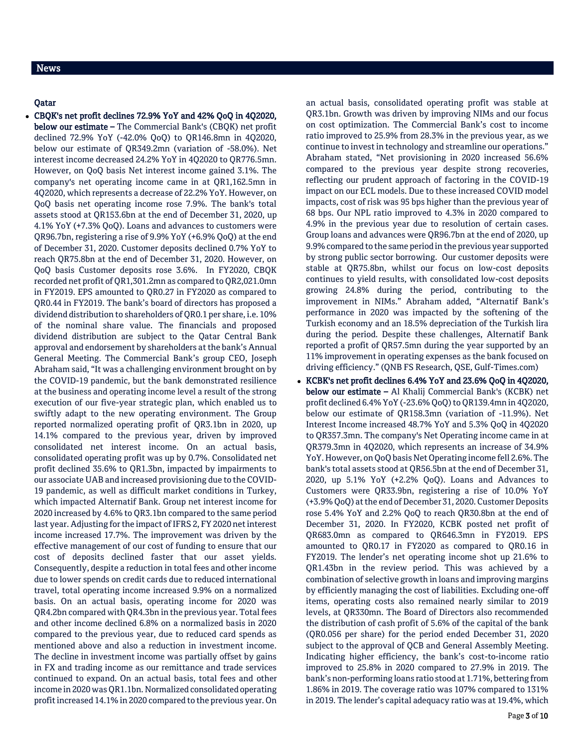# News

#### Qatar

 CBQK's net profit declines 72.9% YoY and 42% QoQ in 4Q2020, below our estimate – The Commercial Bank's (CBQK) net profit declined 72.9% YoY (-42.0% QoQ) to QR146.8mn in 4Q2020, below our estimate of QR349.2mn (variation of -58.0%). Net interest income decreased 24.2% YoY in 4Q2020 to QR776.5mn. However, on QoQ basis Net interest income gained 3.1%. The company's net operating income came in at QR1,162.5mn in 4Q2020, which represents a decrease of 22.2% YoY. However, on QoQ basis net operating income rose 7.9%. The bank's total assets stood at QR153.6bn at the end of December 31, 2020, up 4.1% YoY (+7.3% QoQ). Loans and advances to customers were QR96.7bn, registering a rise of 9.9% YoY (+6.9% QoQ) at the end of December 31, 2020. Customer deposits declined 0.7% YoY to reach QR75.8bn at the end of December 31, 2020. However, on QoQ basis Customer deposits rose 3.6%. In FY2020, CBQK recorded net profit of QR1,301.2mn as compared to QR2,021.0mn in FY2019. EPS amounted to QR0.27 in FY2020 as compared to QR0.44 in FY2019. The bank's board of directors has proposed a dividend distribution to shareholders of QR0.1 per share, i.e. 10% of the nominal share value. The financials and proposed dividend distribution are subject to the Qatar Central Bank approval and endorsement by shareholders at the bank's Annual General Meeting. The Commercial Bank's group CEO, Joseph Abraham said, "It was a challenging environment brought on by the COVID-19 pandemic, but the bank demonstrated resilience at the business and operating income level a result of the strong execution of our five-year strategic plan, which enabled us to swiftly adapt to the new operating environment. The Group reported normalized operating profit of QR3.1bn in 2020, up 14.1% compared to the previous year, driven by improved consolidated net interest income. On an actual basis, consolidated operating profit was up by 0.7%. Consolidated net profit declined 35.6% to QR1.3bn, impacted by impairments to our associate UAB and increased provisioning due to the COVID-19 pandemic, as well as difficult market conditions in Turkey, which impacted Alternatif Bank. Group net interest income for 2020 increased by 4.6% to QR3.1bn compared to the same period last year. Adjusting for the impact of IFRS 2, FY 2020 net interest income increased 17.7%. The improvement was driven by the effective management of our cost of funding to ensure that our cost of deposits declined faster that our asset yields. Consequently, despite a reduction in total fees and other income due to lower spends on credit cards due to reduced international travel, total operating income increased 9.9% on a normalized basis. On an actual basis, operating income for 2020 was QR4.2bn compared with QR4.3bn in the previous year. Total fees and other income declined 6.8% on a normalized basis in 2020 compared to the previous year, due to reduced card spends as mentioned above and also a reduction in investment income. The decline in investment income was partially offset by gains in FX and trading income as our remittance and trade services continued to expand. On an actual basis, total fees and other income in 2020 was QR1.1bn. Normalized consolidated operating profit increased 14.1% in 2020 compared to the previous year. On

an actual basis, consolidated operating profit was stable at QR3.1bn. Growth was driven by improving NIMs and our focus on cost optimization. The Commercial Bank's cost to income ratio improved to 25.9% from 28.3% in the previous year, as we continue to invest in technology and streamline our operations." Abraham stated, "Net provisioning in 2020 increased 56.6% compared to the previous year despite strong recoveries, reflecting our prudent approach of factoring in the COVID-19 impact on our ECL models. Due to these increased COVID model impacts, cost of risk was 95 bps higher than the previous year of 68 bps. Our NPL ratio improved to 4.3% in 2020 compared to 4.9% in the previous year due to resolution of certain cases. Group loans and advances were QR96.7bn at the end of 2020, up 9.9% compared to the same period in the previous year supported by strong public sector borrowing. Our customer deposits were stable at QR75.8bn, whilst our focus on low-cost deposits continues to yield results, with consolidated low-cost deposits growing 24.8% during the period, contributing to the improvement in NIMs." Abraham added, "Alternatif Bank's performance in 2020 was impacted by the softening of the Turkish economy and an 18.5% depreciation of the Turkish lira during the period. Despite these challenges, Alternatif Bank reported a profit of QR57.5mn during the year supported by an 11% improvement in operating expenses as the bank focused on driving efficiency." (QNB FS Research, QSE, Gulf-Times.com)

 KCBK's net profit declines 6.4% YoY and 23.6% QoQ in 4Q2020, below our estimate – Al Khalij Commercial Bank's (KCBK) net profit declined 6.4% YoY (-23.6% QoQ) to QR139.4mn in 4Q2020, below our estimate of QR158.3mn (variation of -11.9%). Net Interest Income increased 48.7% YoY and 5.3% QoQ in 4Q2020 to QR357.3mn. The company's Net Operating income came in at QR379.3mn in 4Q2020, which represents an increase of 34.9% YoY. However, on QoQ basis Net Operating income fell 2.6%. The bank's total assets stood at QR56.5bn at the end of December 31, 2020, up 5.1% YoY (+2.2% QoQ). Loans and Advances to Customers were QR33.9bn, registering a rise of 10.0% YoY (+3.9% QoQ) at the end of December 31, 2020. Customer Deposits rose 5.4% YoY and 2.2% QoQ to reach QR30.8bn at the end of December 31, 2020. In FY2020, KCBK posted net profit of QR683.0mn as compared to QR646.3mn in FY2019. EPS amounted to QR0.17 in FY2020 as compared to QR0.16 in FY2019. The lender's net operating income shot up 21.6% to QR1.43bn in the review period. This was achieved by a combination of selective growth in loans and improving margins by efficiently managing the cost of liabilities. Excluding one-off items, operating costs also remained nearly similar to 2019 levels, at QR330mn. The Board of Directors also recommended the distribution of cash profit of 5.6% of the capital of the bank (QR0.056 per share) for the period ended December 31, 2020 subject to the approval of QCB and General Assembly Meeting. Indicating higher efficiency, the bank's cost-to-income ratio improved to 25.8% in 2020 compared to 27.9% in 2019. The bank's non-performing loans ratio stood at 1.71%, bettering from 1.86% in 2019. The coverage ratio was 107% compared to 131% in 2019. The lender's capital adequacy ratio was at 19.4%, which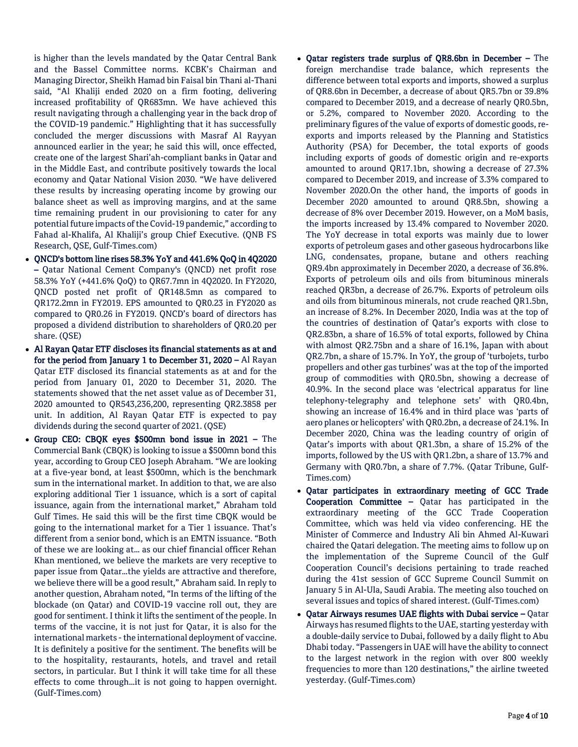is higher than the levels mandated by the Qatar Central Bank and the Bassel Committee norms. KCBK's Chairman and Managing Director, Sheikh Hamad bin Faisal bin Thani al-Thani said, "Al Khaliji ended 2020 on a firm footing, delivering increased profitability of QR683mn. We have achieved this result navigating through a challenging year in the back drop of the COVID-19 pandemic." Highlighting that it has successfully concluded the merger discussions with Masraf Al Rayyan announced earlier in the year; he said this will, once effected, create one of the largest Shari'ah-compliant banks in Qatar and in the Middle East, and contribute positively towards the local economy and Qatar National Vision 2030. "We have delivered these results by increasing operating income by growing our balance sheet as well as improving margins, and at the same time remaining prudent in our provisioning to cater for any potential future impacts of the Covid-19 pandemic," according to Fahad al-Khalifa, Al Khaliji's group Chief Executive. (QNB FS Research, QSE, Gulf-Times.com)

- QNCD's bottom line rises 58.3% YoY and 441.6% QoQ in 4Q2020 – Qatar National Cement Company's (QNCD) net profit rose 58.3% YoY (+441.6% QoQ) to QR67.7mn in 4Q2020. In FY2020, QNCD posted net profit of QR148.5mn as compared to QR172.2mn in FY2019. EPS amounted to QR0.23 in FY2020 as compared to QR0.26 in FY2019. QNCD's board of directors has proposed a dividend distribution to shareholders of QR0.20 per share. (QSE)
- Al Rayan Qatar ETF discloses its financial statements as at and for the period from January 1 to December 31, 2020 – Al Rayan Qatar ETF disclosed its financial statements as at and for the period from January 01, 2020 to December 31, 2020. The statements showed that the net asset value as of December 31, 2020 amounted to QR543,236,200, representing QR2.3858 per unit. In addition, Al Rayan Qatar ETF is expected to pay dividends during the second quarter of 2021. (QSE)
- Group CEO: CBQK eyes \$500mn bond issue in 2021 The Commercial Bank (CBQK) is looking to issue a \$500mn bond this year, according to Group CEO Joseph Abraham. "We are looking at a five-year bond, at least \$500mn, which is the benchmark sum in the international market. In addition to that, we are also exploring additional Tier 1 issuance, which is a sort of capital issuance, again from the international market," Abraham told Gulf Times. He said this will be the first time CBQK would be going to the international market for a Tier 1 issuance. That's different from a senior bond, which is an EMTN issuance. "Both of these we are looking at… as our chief financial officer Rehan Khan mentioned, we believe the markets are very receptive to paper issue from Qatar…the yields are attractive and therefore, we believe there will be a good result," Abraham said. In reply to another question, Abraham noted, "In terms of the lifting of the blockade (on Qatar) and COVID-19 vaccine roll out, they are good for sentiment. I think it lifts the sentiment of the people. In terms of the vaccine, it is not just for Qatar, it is also for the international markets - the international deployment of vaccine. It is definitely a positive for the sentiment. The benefits will be to the hospitality, restaurants, hotels, and travel and retail sectors, in particular. But I think it will take time for all these effects to come through…it is not going to happen overnight. (Gulf-Times.com)
- Qatar registers trade surplus of QR8.6bn in December The foreign merchandise trade balance, which represents the difference between total exports and imports, showed a surplus of QR8.6bn in December, a decrease of about QR5.7bn or 39.8% compared to December 2019, and a decrease of nearly QR0.5bn, or 5.2%, compared to November 2020. According to the preliminary figures of the value of exports of domestic goods, reexports and imports released by the Planning and Statistics Authority (PSA) for December, the total exports of goods including exports of goods of domestic origin and re-exports amounted to around QR17.1bn, showing a decrease of 27.3% compared to December 2019, and increase of 3.3% compared to November 2020.On the other hand, the imports of goods in December 2020 amounted to around QR8.5bn, showing a decrease of 8% over December 2019. However, on a MoM basis, the imports increased by 13.4% compared to November 2020. The YoY decrease in total exports was mainly due to lower exports of petroleum gases and other gaseous hydrocarbons like LNG, condensates, propane, butane and others reaching QR9.4bn approximately in December 2020, a decrease of 36.8%. Exports of petroleum oils and oils from bituminous minerals reached QR3bn, a decrease of 26.7%. Exports of petroleum oils and oils from bituminous minerals, not crude reached QR1.5bn, an increase of 8.2%. In December 2020, India was at the top of the countries of destination of Qatar's exports with close to QR2.83bn, a share of 16.5% of total exports, followed by China with almost QR2.75bn and a share of 16.1%, Japan with about QR2.7bn, a share of 15.7%. In YoY, the group of 'turbojets, turbo propellers and other gas turbines' was at the top of the imported group of commodities with QR0.5bn, showing a decrease of 40.9%. In the second place was 'electrical apparatus for line telephony-telegraphy and telephone sets' with QR0.4bn, showing an increase of 16.4% and in third place was 'parts of aero planes or helicopters' with QR0.2bn, a decrease of 24.1%. In December 2020, China was the leading country of origin of Qatar's imports with about QR1.3bn, a share of 15.2% of the imports, followed by the US with QR1.2bn, a share of 13.7% and Germany with QR0.7bn, a share of 7.7%. (Qatar Tribune, Gulf-Times.com)
- Qatar participates in extraordinary meeting of GCC Trade Cooperation Committee – Qatar has participated in the extraordinary meeting of the GCC Trade Cooperation Committee, which was held via video conferencing. HE the Minister of Commerce and Industry Ali bin Ahmed Al-Kuwari chaired the Qatari delegation. The meeting aims to follow up on the implementation of the Supreme Council of the Gulf Cooperation Council's decisions pertaining to trade reached during the 41st session of GCC Supreme Council Summit on January 5 in Al-Ula, Saudi Arabia. The meeting also touched on several issues and topics of shared interest. (Gulf-Times.com)
- Qatar Airways resumes UAE flights with Dubai service Qatar Airways has resumed flights to the UAE, starting yesterday with a double-daily service to Dubai, followed by a daily flight to Abu Dhabi today. "Passengers in UAE will have the ability to connect to the largest network in the region with over 800 weekly frequencies to more than 120 destinations," the airline tweeted yesterday. (Gulf-Times.com)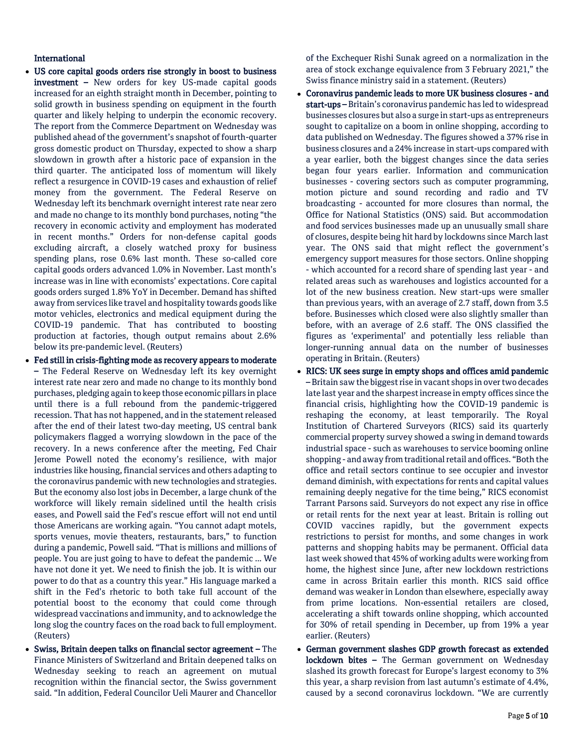## International

- US core capital goods orders rise strongly in boost to business investment – New orders for key US-made capital goods increased for an eighth straight month in December, pointing to solid growth in business spending on equipment in the fourth quarter and likely helping to underpin the economic recovery. The report from the Commerce Department on Wednesday was published ahead of the government's snapshot of fourth-quarter gross domestic product on Thursday, expected to show a sharp slowdown in growth after a historic pace of expansion in the third quarter. The anticipated loss of momentum will likely reflect a resurgence in COVID-19 cases and exhaustion of relief money from the government. The Federal Reserve on Wednesday left its benchmark overnight interest rate near zero and made no change to its monthly bond purchases, noting "the recovery in economic activity and employment has moderated in recent months." Orders for non-defense capital goods excluding aircraft, a closely watched proxy for business spending plans, rose 0.6% last month. These so-called core capital goods orders advanced 1.0% in November. Last month's increase was in line with economists' expectations. Core capital goods orders surged 1.8% YoY in December. Demand has shifted away from services like travel and hospitality towards goods like motor vehicles, electronics and medical equipment during the COVID-19 pandemic. That has contributed to boosting production at factories, though output remains about 2.6% below its pre-pandemic level. (Reuters)
- Fed still in crisis-fighting mode as recovery appears to moderate – The Federal Reserve on Wednesday left its key overnight interest rate near zero and made no change to its monthly bond purchases, pledging again to keep those economic pillars in place until there is a full rebound from the pandemic-triggered recession. That has not happened, and in the statement released after the end of their latest two-day meeting, US central bank policymakers flagged a worrying slowdown in the pace of the recovery. In a news conference after the meeting, Fed Chair Jerome Powell noted the economy's resilience, with major industries like housing, financial services and others adapting to the coronavirus pandemic with new technologies and strategies. But the economy also lost jobs in December, a large chunk of the workforce will likely remain sidelined until the health crisis eases, and Powell said the Fed's rescue effort will not end until those Americans are working again. "You cannot adapt motels, sports venues, movie theaters, restaurants, bars," to function during a pandemic, Powell said. "That is millions and millions of people. You are just going to have to defeat the pandemic ... We have not done it yet. We need to finish the job. It is within our power to do that as a country this year." His language marked a shift in the Fed's rhetoric to both take full account of the potential boost to the economy that could come through widespread vaccinations and immunity, and to acknowledge the long slog the country faces on the road back to full employment. (Reuters)
- Swiss, Britain deepen talks on financial sector agreement The Finance Ministers of Switzerland and Britain deepened talks on Wednesday seeking to reach an agreement on mutual recognition within the financial sector, the Swiss government said. "In addition, Federal Councilor Ueli Maurer and Chancellor

of the Exchequer Rishi Sunak agreed on a normalization in the area of stock exchange equivalence from 3 February 2021," the Swiss finance ministry said in a statement. (Reuters)

- Coronavirus pandemic leads to more UK business closures and start-ups – Britain's coronavirus pandemic has led to widespread businesses closures but also a surge in start-ups as entrepreneurs sought to capitalize on a boom in online shopping, according to data published on Wednesday. The figures showed a 37% rise in business closures and a 24% increase in start-ups compared with a year earlier, both the biggest changes since the data series began four years earlier. Information and communication businesses - covering sectors such as computer programming, motion picture and sound recording and radio and TV broadcasting - accounted for more closures than normal, the Office for National Statistics (ONS) said. But accommodation and food services businesses made up an unusually small share of closures, despite being hit hard by lockdowns since March last year. The ONS said that might reflect the government's emergency support measures for those sectors. Online shopping - which accounted for a record share of spending last year - and related areas such as warehouses and logistics accounted for a lot of the new business creation. New start-ups were smaller than previous years, with an average of 2.7 staff, down from 3.5 before. Businesses which closed were also slightly smaller than before, with an average of 2.6 staff. The ONS classified the figures as 'experimental' and potentially less reliable than longer-running annual data on the number of businesses operating in Britain. (Reuters)
- RICS: UK sees surge in empty shops and offices amid pandemic – Britain saw the biggest rise in vacant shops in over two decades late last year and the sharpest increase in empty offices since the financial crisis, highlighting how the COVID-19 pandemic is reshaping the economy, at least temporarily. The Royal Institution of Chartered Surveyors (RICS) said its quarterly commercial property survey showed a swing in demand towards industrial space - such as warehouses to service booming online shopping - and away from traditional retail and offices. "Both the office and retail sectors continue to see occupier and investor demand diminish, with expectations for rents and capital values remaining deeply negative for the time being," RICS economist Tarrant Parsons said. Surveyors do not expect any rise in office or retail rents for the next year at least. Britain is rolling out COVID vaccines rapidly, but the government expects restrictions to persist for months, and some changes in work patterns and shopping habits may be permanent. Official data last week showed that 45% of working adults were working from home, the highest since June, after new lockdown restrictions came in across Britain earlier this month. RICS said office demand was weaker in London than elsewhere, especially away from prime locations. Non-essential retailers are closed, accelerating a shift towards online shopping, which accounted for 30% of retail spending in December, up from 19% a year earlier. (Reuters)
- German government slashes GDP growth forecast as extended lockdown bites - The German government on Wednesday slashed its growth forecast for Europe's largest economy to 3% this year, a sharp revision from last autumn's estimate of 4.4%, caused by a second coronavirus lockdown. "We are currently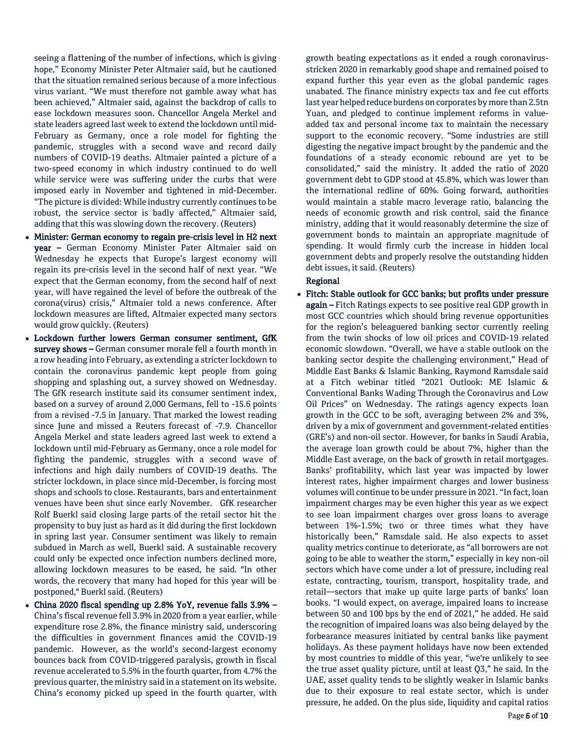seeing a flattening of the number of infections, which is giving hope," Economy Minister Peter Altmaier said, but he cautioned that the situation remained serious because of a more infectious virus variant. "We must therefore not gamble away what has been achieved," Altmaier said, against the backdrop of calls to ease lockdown measures soon. Chancellor Angela Merkel and state leaders agreed last week to extend the lockdown until mid-February as Germany, once a role model for fighting the pandemic, struggles with a second wave and record daily numbers of COVID-19 deaths. Altmaier painted a picture of a two-speed economy in which industry continued to do well while service were was suffering under the curbs that were imposed early in November and tightened in mid-December. "The picture is divided: While industry currently continues to be robust, the service sector is badly affected," Altmaier said, adding that this was slowing down the recovery. (Reuters)

- Minister: German economy to regain pre-crisis level in H2 next year - German Economy Minister Pater Altmaier said on Wednesday he expects that Europe's largest economy will regain its pre-crisis level in the second half of next year. "We expect that the German economy, from the second half of next year, will have regained the level of before the outbreak of the corona(virus) crisis," Altmaier told a news conference. After lockdown measures are lifted, Altmaier expected many sectors would grow quickly. (Reuters)
- Lockdown further lowers German consumer sentiment, GfK survey shows - German consumer morale fell a fourth month in a row heading into February, as extending a stricter lockdown to contain the coronavirus pandemic kept people from going shopping and splashing out, a survey showed on Wednesday. The GfK research institute said its consumer sentiment index, based on a survey of around 2,000 Germans, fell to -15.6 points from a revised -7.5 in January. That marked the lowest reading since June and missed a Reuters forecast of -7.9. Chancellor Angela Merkel and state leaders agreed last week to extend a lockdown until mid-February as Germany, once a role model for fighting the pandemic, struggles with a second wave of infections and high daily numbers of COVID-19 deaths. The stricter lockdown, in place since mid-December, is forcing most shops and schools to close. Restaurants, bars and entertainment venues have been shut since early November. GfK researcher Rolf Buerkl said closing large parts of the retail sector hit the propensity to buy just as hard as it did during the first lockdown in spring last year. Consumer sentiment was likely to remain subdued in March as well, Buerkl said. A sustainable recovery could only be expected once infection numbers declined more, allowing lockdown measures to be eased, he said. "In other words, the recovery that many had hoped for this year will be postponed," Buerkl said. (Reuters)
- China 2020 fiscal spending up 2.8% YoY, revenue falls 3.9% China's fiscal revenue fell 3.9% in 2020 from a year earlier, while expenditure rose 2.8%, the finance ministry said, underscoring the difficulties in government finances amid the COVID-19 pandemic. However, as the world's second-largest economy bounces back from COVID-triggered paralysis, growth in fiscal revenue accelerated to 5.5% in the fourth quarter, from 4.7% the previous quarter, the ministry said in a statement on its website. China's economy picked up speed in the fourth quarter, with

growth beating expectations as it ended a rough coronavirusstricken 2020 in remarkably good shape and remained poised to expand further this year even as the global pandemic rages unabated. The finance ministry expects tax and fee cut efforts last year helped reduce burdens on corporates by more than 2.5tn Yuan, and pledged to continue implement reforms in valueadded tax and personal income tax to maintain the necessary support to the economic recovery. "Some industries are still digesting the negative impact brought by the pandemic and the foundations of a steady economic rebound are yet to be consolidated," said the ministry. It added the ratio of 2020 government debt to GDP stood at 45.8%, which was lower than the international redline of 60%. Going forward, authorities would maintain a stable macro leverage ratio, balancing the needs of economic growth and risk control, said the finance ministry, adding that it would reasonably determine the size of government bonds to maintain an appropriate magnitude of spending. It would firmly curb the increase in hidden local government debts and properly resolve the outstanding hidden debt issues, it said. (Reuters)

# Regional

 Fitch: Stable outlook for GCC banks; but profits under pressure again – Fitch Ratings expects to see positive real GDP growth in most GCC countries which should bring revenue opportunities for the region's beleaguered banking sector currently reeling from the twin shocks of low oil prices and COVID-19 related economic slowdown. "Overall, we have a stable outlook on the banking sector despite the challenging environment," Head of Middle East Banks & Islamic Banking, Raymond Ramsdale said at a Fitch webinar titled "2021 Outlook: ME Islamic & Conventional Banks Wading Through the Coronavirus and Low Oil Prices" on Wednesday. The ratings agency expects loan growth in the GCC to be soft, averaging between 2% and 3%, driven by a mix of government and government-related entities (GRE's) and non-oil sector. However, for banks in Saudi Arabia, the average loan growth could be about 7%, higher than the Middle East average, on the back of growth in retail mortgages. Banks' profitability, which last year was impacted by lower interest rates, higher impairment charges and lower business volumes will continue to be under pressure in 2021. "In fact, loan impairment charges may be even higher this year as we expect to see loan impairment charges over gross loans to average between 1%-1.5%; two or three times what they have historically been," Ramsdale said. He also expects to asset quality metrics continue to deteriorate, as "all borrowers are not going to be able to weather the storm," especially in key non-oil sectors which have come under a lot of pressure, including real estate, contracting, tourism, transport, hospitality trade, and retail—sectors that make up quite large parts of banks' loan books. "I would expect, on average, impaired loans to increase between 50 and 100 bps by the end of 2021," he added. He said the recognition of impaired loans was also being delayed by the forbearance measures initiated by central banks like payment holidays. As these payment holidays have now been extended by most countries to middle of this year, "we're unlikely to see the true asset quality picture, until at least Q3," he said. In the UAE, asset quality tends to be slightly weaker in Islamic banks due to their exposure to real estate sector, which is under pressure, he added. On the plus side, liquidity and capital ratios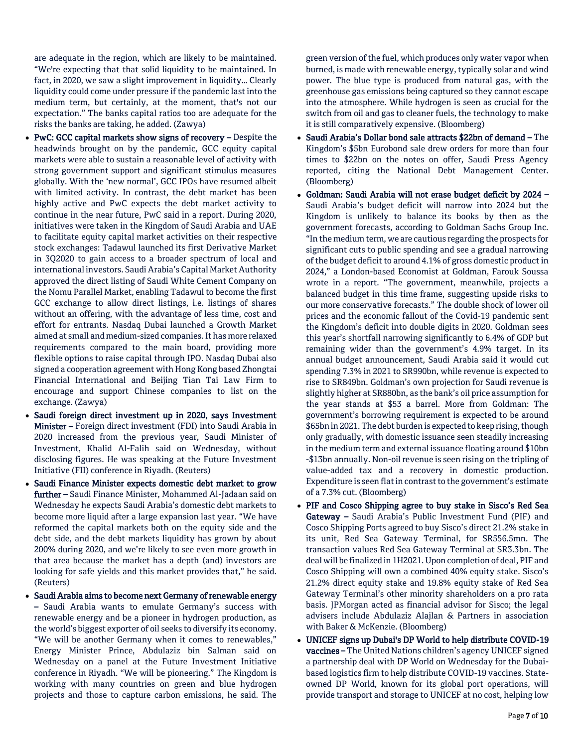are adequate in the region, which are likely to be maintained. "We're expecting that that solid liquidity to be maintained. In fact, in 2020, we saw a slight improvement in liquidity… Clearly liquidity could come under pressure if the pandemic last into the medium term, but certainly, at the moment, that's not our expectation." The banks capital ratios too are adequate for the risks the banks are taking, he added. (Zawya)

- PwC: GCC capital markets show signs of recovery Despite the headwinds brought on by the pandemic, GCC equity capital markets were able to sustain a reasonable level of activity with strong government support and significant stimulus measures globally. With the 'new normal', GCC IPOs have resumed albeit with limited activity. In contrast, the debt market has been highly active and PwC expects the debt market activity to continue in the near future, PwC said in a report. During 2020, initiatives were taken in the Kingdom of Saudi Arabia and UAE to facilitate equity capital market activities on their respective stock exchanges: Tadawul launched its first Derivative Market in 3Q2020 to gain access to a broader spectrum of local and international investors. Saudi Arabia's Capital Market Authority approved the direct listing of Saudi White Cement Company on the Nomu Parallel Market, enabling Tadawul to become the first GCC exchange to allow direct listings, i.e. listings of shares without an offering, with the advantage of less time, cost and effort for entrants. Nasdaq Dubai launched a Growth Market aimed at small and medium-sized companies. It has more relaxed requirements compared to the main board, providing more flexible options to raise capital through IPO. Nasdaq Dubai also signed a cooperation agreement with Hong Kong based Zhongtai Financial International and Beijing Tian Tai Law Firm to encourage and support Chinese companies to list on the exchange. (Zawya)
- Saudi foreign direct investment up in 2020, says Investment Minister – Foreign direct investment (FDI) into Saudi Arabia in 2020 increased from the previous year, Saudi Minister of Investment, Khalid Al-Falih said on Wednesday, without disclosing figures. He was speaking at the Future Investment Initiative (FII) conference in Riyadh. (Reuters)
- Saudi Finance Minister expects domestic debt market to grow further – Saudi Finance Minister, Mohammed Al-Jadaan said on Wednesday he expects Saudi Arabia's domestic debt markets to become more liquid after a large expansion last year. "We have reformed the capital markets both on the equity side and the debt side, and the debt markets liquidity has grown by about 200% during 2020, and we're likely to see even more growth in that area because the market has a depth (and) investors are looking for safe yields and this market provides that," he said. (Reuters)
- Saudi Arabia aims to become next Germany of renewable energy – Saudi Arabia wants to emulate Germany's success with renewable energy and be a pioneer in hydrogen production, as the world's biggest exporter of oil seeks to diversify its economy. "We will be another Germany when it comes to renewables," Energy Minister Prince, Abdulaziz bin Salman said on Wednesday on a panel at the Future Investment Initiative conference in Riyadh. "We will be pioneering." The Kingdom is working with many countries on green and blue hydrogen projects and those to capture carbon emissions, he said. The

green version of the fuel, which produces only water vapor when burned, is made with renewable energy, typically solar and wind power. The blue type is produced from natural gas, with the greenhouse gas emissions being captured so they cannot escape into the atmosphere. While hydrogen is seen as crucial for the switch from oil and gas to cleaner fuels, the technology to make it is still comparatively expensive. (Bloomberg)

- Saudi Arabia's Dollar bond sale attracts \$22bn of demand The Kingdom's \$5bn Eurobond sale drew orders for more than four times to \$22bn on the notes on offer, Saudi Press Agency reported, citing the National Debt Management Center. (Bloomberg)
- Goldman: Saudi Arabia will not erase budget deficit by 2024 Saudi Arabia's budget deficit will narrow into 2024 but the Kingdom is unlikely to balance its books by then as the government forecasts, according to Goldman Sachs Group Inc. "In the medium term, we are cautious regarding the prospects for significant cuts to public spending and see a gradual narrowing of the budget deficit to around 4.1% of gross domestic product in 2024," a London-based Economist at Goldman, Farouk Soussa wrote in a report. "The government, meanwhile, projects a balanced budget in this time frame, suggesting upside risks to our more conservative forecasts." The double shock of lower oil prices and the economic fallout of the Covid-19 pandemic sent the Kingdom's deficit into double digits in 2020. Goldman sees this year's shortfall narrowing significantly to 6.4% of GDP but remaining wider than the government's 4.9% target. In its annual budget announcement, Saudi Arabia said it would cut spending 7.3% in 2021 to SR990bn, while revenue is expected to rise to SR849bn. Goldman's own projection for Saudi revenue is slightly higher at SR880bn, as the bank's oil price assumption for the year stands at \$53 a barrel. More from Goldman: The government's borrowing requirement is expected to be around \$65bn in 2021. The debt burden is expected to keep rising, though only gradually, with domestic issuance seen steadily increasing in the medium term and external issuance floating around \$10bn -\$13bn annually. Non-oil revenue is seen rising on the tripling of value-added tax and a recovery in domestic production. Expenditure is seen flat in contrast to the government's estimate of a 7.3% cut. (Bloomberg)
- PIF and Cosco Shipping agree to buy stake in Sisco's Red Sea Gateway – Saudi Arabia's Public Investment Fund (PIF) and Cosco Shipping Ports agreed to buy Sisco's direct 21.2% stake in its unit, Red Sea Gateway Terminal, for SR556.5mn. The transaction values Red Sea Gateway Terminal at SR3.3bn. The deal will be finalized in 1H2021. Upon completion of deal, PIF and Cosco Shipping will own a combined 40% equity stake. Sisco's 21.2% direct equity stake and 19.8% equity stake of Red Sea Gateway Terminal's other minority shareholders on a pro rata basis. JPMorgan acted as financial advisor for Sisco; the legal advisers include Abdulaziz Alajlan & Partners in association with Baker & McKenzie. (Bloomberg)
- UNICEF signs up Dubai's DP World to help distribute COVID-19 vaccines – The United Nations children's agency UNICEF signed a partnership deal with DP World on Wednesday for the Dubaibased logistics firm to help distribute COVID-19 vaccines. Stateowned DP World, known for its global port operations, will provide transport and storage to UNICEF at no cost, helping low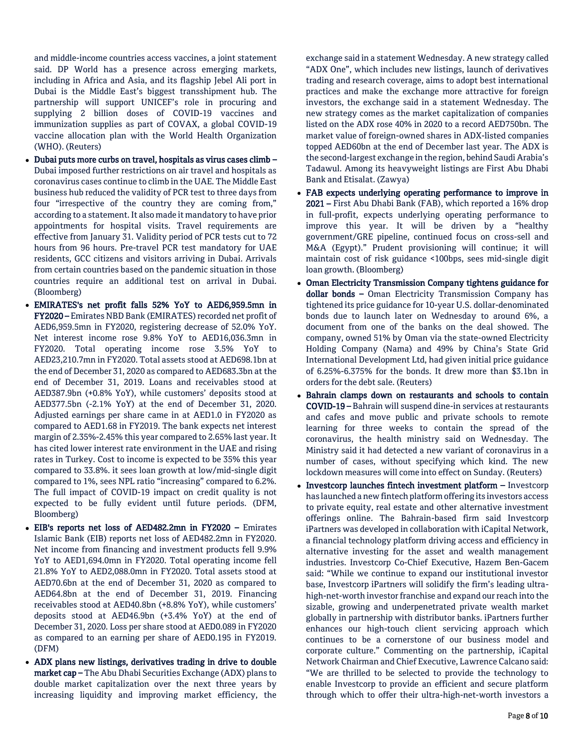and middle-income countries access vaccines, a joint statement said. DP World has a presence across emerging markets, including in Africa and Asia, and its flagship Jebel Ali port in Dubai is the Middle East's biggest transshipment hub. The partnership will support UNICEF's role in procuring and supplying 2 billion doses of COVID-19 vaccines and immunization supplies as part of COVAX, a global COVID-19 vaccine allocation plan with the World Health Organization (WHO). (Reuters)

- Dubai puts more curbs on travel, hospitals as virus cases climb Dubai imposed further restrictions on air travel and hospitals as coronavirus cases continue to climb in the UAE. The Middle East business hub reduced the validity of PCR test to three days from four "irrespective of the country they are coming from," according to a statement. It also made it mandatory to have prior appointments for hospital visits. Travel requirements are effective from January 31. Validity period of PCR tests cut to 72 hours from 96 hours. Pre-travel PCR test mandatory for UAE residents, GCC citizens and visitors arriving in Dubai. Arrivals from certain countries based on the pandemic situation in those countries require an additional test on arrival in Dubai. (Bloomberg)
- EMIRATES's net profit falls 52% YoY to AED6,959.5mn in FY2020 – Emirates NBD Bank (EMIRATES) recorded net profit of AED6,959.5mn in FY2020, registering decrease of 52.0% YoY. Net interest income rose 9.8% YoY to AED16,036.3mn in FY2020. Total operating income rose 3.5% YoY to AED23,210.7mn in FY2020. Total assets stood at AED698.1bn at the end of December 31, 2020 as compared to AED683.3bn at the end of December 31, 2019. Loans and receivables stood at AED387.9bn (+0.8% YoY), while customers' deposits stood at AED377.5bn (-2.1% YoY) at the end of December 31, 2020. Adjusted earnings per share came in at AED1.0 in FY2020 as compared to AED1.68 in FY2019. The bank expects net interest margin of 2.35%-2.45% this year compared to 2.65% last year. It has cited lower interest rate environment in the UAE and rising rates in Turkey. Cost to income is expected to be 35% this year compared to 33.8%. it sees loan growth at low/mid-single digit compared to 1%, sees NPL ratio "increasing" compared to 6.2%. The full impact of COVID-19 impact on credit quality is not expected to be fully evident until future periods. (DFM, Bloomberg)
- EIB's reports net loss of AED482.2mn in FY2020 Emirates Islamic Bank (EIB) reports net loss of AED482.2mn in FY2020. Net income from financing and investment products fell 9.9% YoY to AED1,694.0mn in FY2020. Total operating income fell 21.8% YoY to AED2,088.0mn in FY2020. Total assets stood at AED70.6bn at the end of December 31, 2020 as compared to AED64.8bn at the end of December 31, 2019. Financing receivables stood at AED40.8bn (+8.8% YoY), while customers' deposits stood at AED46.9bn (+3.4% YoY) at the end of December 31, 2020. Loss per share stood at AED0.089 in FY2020 as compared to an earning per share of AED0.195 in FY2019. (DFM)
- ADX plans new listings, derivatives trading in drive to double market cap – The Abu Dhabi Securities Exchange (ADX) plans to double market capitalization over the next three years by increasing liquidity and improving market efficiency, the

exchange said in a statement Wednesday. A new strategy called "ADX One", which includes new listings, launch of derivatives trading and research coverage, aims to adopt best international practices and make the exchange more attractive for foreign investors, the exchange said in a statement Wednesday. The new strategy comes as the market capitalization of companies listed on the ADX rose 40% in 2020 to a record AED750bn. The market value of foreign-owned shares in ADX-listed companies topped AED60bn at the end of December last year. The ADX is the second-largest exchange in the region, behind Saudi Arabia's Tadawul. Among its heavyweight listings are First Abu Dhabi Bank and Etisalat. (Zawya)

- FAB expects underlying operating performance to improve in 2021 – First Abu Dhabi Bank (FAB), which reported a 16% drop in full-profit, expects underlying operating performance to improve this year. It will be driven by a "healthy government/GRE pipeline, continued focus on cross-sell and M&A (Egypt)." Prudent provisioning will continue; it will maintain cost of risk guidance <100bps, sees mid-single digit loan growth. (Bloomberg)
- Oman Electricity Transmission Company tightens guidance for dollar bonds - Oman Electricity Transmission Company has tightened its price guidance for 10-year U.S. dollar-denominated bonds due to launch later on Wednesday to around 6%, a document from one of the banks on the deal showed. The company, owned 51% by Oman via the state-owned Electricity Holding Company (Nama) and 49% by China's State Grid International Development Ltd, had given initial price guidance of 6.25%-6.375% for the bonds. It drew more than \$3.1bn in orders for the debt sale. (Reuters)
- Bahrain clamps down on restaurants and schools to contain COVID-19 – Bahrain will suspend dine-in services at restaurants and cafes and move public and private schools to remote learning for three weeks to contain the spread of the coronavirus, the health ministry said on Wednesday. The Ministry said it had detected a new variant of coronavirus in a number of cases, without specifying which kind. The new lockdown measures will come into effect on Sunday. (Reuters)
- $\bullet$  Investcorp launches fintech investment platform Investcorp has launched a new fintech platform offering its investors access to private equity, real estate and other alternative investment offerings online. The Bahrain-based firm said Investcorp iPartners was developed in collaboration with iCapital Network, a financial technology platform driving access and efficiency in alternative investing for the asset and wealth management industries. Investcorp Co-Chief Executive, Hazem Ben-Gacem said: "While we continue to expand our institutional investor base, Investcorp iPartners will solidify the firm's leading ultrahigh-net-worth investor franchise and expand our reach into the sizable, growing and underpenetrated private wealth market globally in partnership with distributor banks. iPartners further enhances our high-touch client servicing approach which continues to be a cornerstone of our business model and corporate culture." Commenting on the partnership, iCapital Network Chairman and Chief Executive, Lawrence Calcano said: "We are thrilled to be selected to provide the technology to enable Investcorp to provide an efficient and secure platform through which to offer their ultra-high-net-worth investors a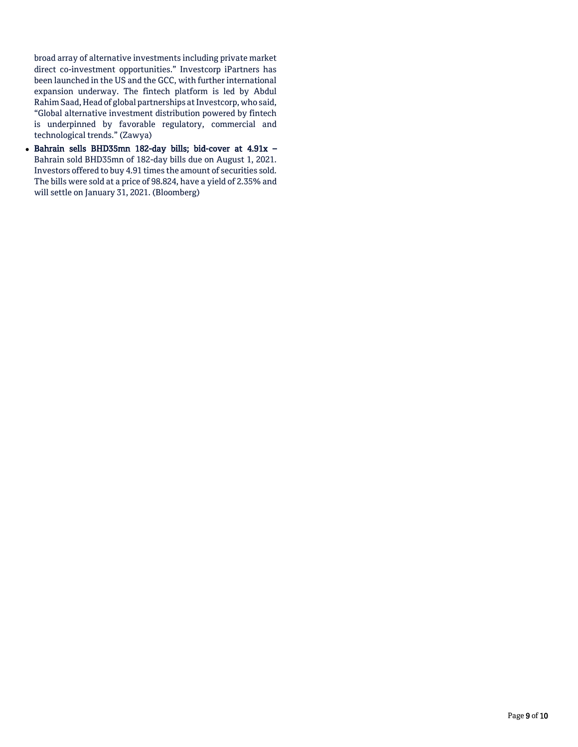broad array of alternative investments including private market direct co-investment opportunities." Investcorp iPartners has been launched in the US and the GCC, with further international expansion underway. The fintech platform is led by Abdul Rahim Saad, Head of global partnerships at Investcorp, who said, "Global alternative investment distribution powered by fintech is underpinned by favorable regulatory, commercial and technological trends." (Zawya)

 Bahrain sells BHD35mn 182-day bills; bid-cover at 4.91x – Bahrain sold BHD35mn of 182-day bills due on August 1, 2021. Investors offered to buy 4.91 times the amount of securities sold. The bills were sold at a price of 98.824, have a yield of 2.35% and will settle on January 31, 2021. (Bloomberg)